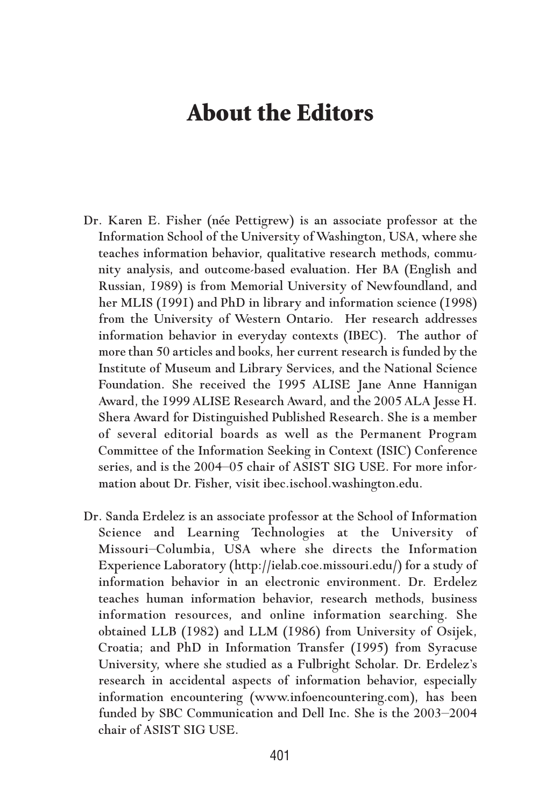## **About the Editors**

- Dr. Karen E. Fisher (née Pettigrew) is an associate professor at the Information School of the University of Washington, USA, where she teaches information behavior, qualitative research methods, community analysis, and outcome-based evaluation. Her BA (English and Russian, 1989) is from Memorial University of Newfoundland, and her MLIS (1991) and PhD in library and information science (1998) from the University of Western Ontario. Her research addresses information behavior in everyday contexts (IBEC). The author of more than 50 articles and books, her current research is funded by the Institute of Museum and Library Services, and the National Science Foundation. She received the 1995 ALISE Jane Anne Hannigan Award, the 1999 ALISE Research Award, and the 2005 ALA Jesse H. Shera Award for Distinguished Published Research. She is a member of several editorial boards as well as the Permanent Program Committee of the Information Seeking in Context (ISIC) Conference series, and is the 2004–05 chair of ASIST SIG USE. For more information about Dr. Fisher, visit ibec.ischool.washington.edu.
- Dr. Sanda Erdelez is an associate professor at the School of Information Science and Learning Technologies at the University of Missouri–Columbia, USA where she directs the Information Experience Laboratory (http://ielab.coe.missouri.edu/) for a study of information behavior in an electronic environment. Dr. Erdelez teaches human information behavior, research methods, business information resources, and online information searching. She obtained LLB (1982) and LLM (1986) from University of Osijek, Croatia; and PhD in Information Transfer (1995) from Syracuse University, where she studied as a Fulbright Scholar. Dr. Erdelez's research in accidental aspects of information behavior, especially information encountering (www.infoencountering.com), has been funded by SBC Communication and Dell Inc. She is the 2003–2004 chair of ASIST SIG USE.